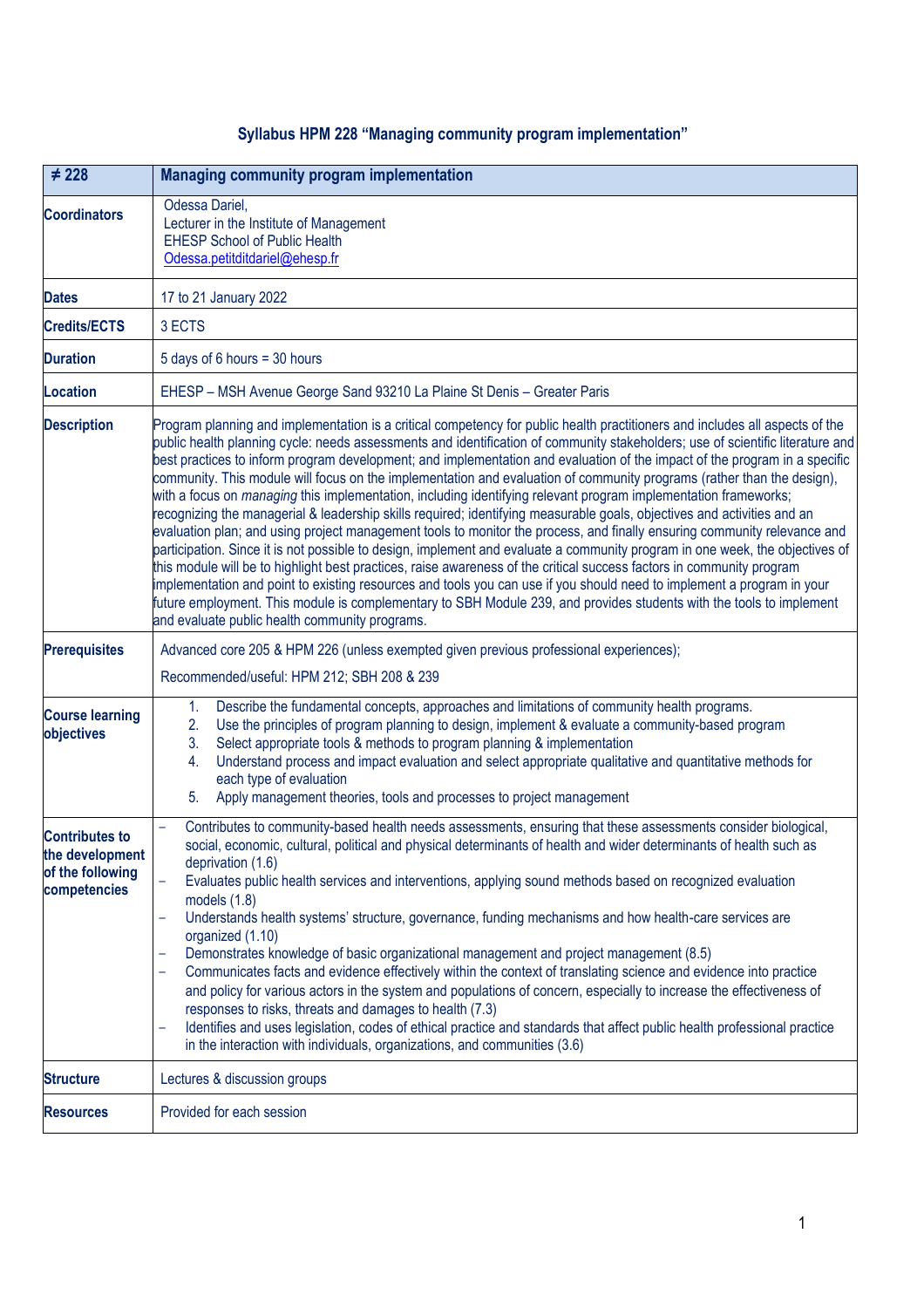## **Syllabus HPM 228 "Managing community program implementation"**

| $\neq 228$                                                                   | <b>Managing community program implementation</b>                                                                                                                                                                                                                                                                                                                                                                                                                                                                                                                                                                                                                                                                                                                                                                                                                                                                                                                                                                                                                                                                                                                                                                                                                                                                                                                                                                                                                     |  |
|------------------------------------------------------------------------------|----------------------------------------------------------------------------------------------------------------------------------------------------------------------------------------------------------------------------------------------------------------------------------------------------------------------------------------------------------------------------------------------------------------------------------------------------------------------------------------------------------------------------------------------------------------------------------------------------------------------------------------------------------------------------------------------------------------------------------------------------------------------------------------------------------------------------------------------------------------------------------------------------------------------------------------------------------------------------------------------------------------------------------------------------------------------------------------------------------------------------------------------------------------------------------------------------------------------------------------------------------------------------------------------------------------------------------------------------------------------------------------------------------------------------------------------------------------------|--|
| <b>Coordinators</b>                                                          | Odessa Dariel,<br>Lecturer in the Institute of Management<br><b>EHESP School of Public Health</b><br>Odessa.petitditdariel@ehesp.fr                                                                                                                                                                                                                                                                                                                                                                                                                                                                                                                                                                                                                                                                                                                                                                                                                                                                                                                                                                                                                                                                                                                                                                                                                                                                                                                                  |  |
| <b>Dates</b>                                                                 | 17 to 21 January 2022                                                                                                                                                                                                                                                                                                                                                                                                                                                                                                                                                                                                                                                                                                                                                                                                                                                                                                                                                                                                                                                                                                                                                                                                                                                                                                                                                                                                                                                |  |
| <b>Credits/ECTS</b>                                                          | 3 ECTS                                                                                                                                                                                                                                                                                                                                                                                                                                                                                                                                                                                                                                                                                                                                                                                                                                                                                                                                                                                                                                                                                                                                                                                                                                                                                                                                                                                                                                                               |  |
| <b>Duration</b>                                                              | 5 days of 6 hours = 30 hours                                                                                                                                                                                                                                                                                                                                                                                                                                                                                                                                                                                                                                                                                                                                                                                                                                                                                                                                                                                                                                                                                                                                                                                                                                                                                                                                                                                                                                         |  |
| <b>Location</b>                                                              | EHESP - MSH Avenue George Sand 93210 La Plaine St Denis - Greater Paris                                                                                                                                                                                                                                                                                                                                                                                                                                                                                                                                                                                                                                                                                                                                                                                                                                                                                                                                                                                                                                                                                                                                                                                                                                                                                                                                                                                              |  |
| <b>Description</b>                                                           | Program planning and implementation is a critical competency for public health practitioners and includes all aspects of the<br>public health planning cycle: needs assessments and identification of community stakeholders; use of scientific literature and<br>best practices to inform program development; and implementation and evaluation of the impact of the program in a specific<br>community. This module will focus on the implementation and evaluation of community programs (rather than the design),<br>with a focus on <i>managing</i> this implementation, including identifying relevant program implementation frameworks;<br>recognizing the managerial & leadership skills required; identifying measurable goals, objectives and activities and an<br>evaluation plan; and using project management tools to monitor the process, and finally ensuring community relevance and<br>participation. Since it is not possible to design, implement and evaluate a community program in one week, the objectives of<br>this module will be to highlight best practices, raise awareness of the critical success factors in community program<br>implementation and point to existing resources and tools you can use if you should need to implement a program in your<br>future employment. This module is complementary to SBH Module 239, and provides students with the tools to implement<br>and evaluate public health community programs. |  |
| <b>Prerequisites</b>                                                         | Advanced core 205 & HPM 226 (unless exempted given previous professional experiences);                                                                                                                                                                                                                                                                                                                                                                                                                                                                                                                                                                                                                                                                                                                                                                                                                                                                                                                                                                                                                                                                                                                                                                                                                                                                                                                                                                               |  |
|                                                                              | Recommended/useful: HPM 212; SBH 208 & 239                                                                                                                                                                                                                                                                                                                                                                                                                                                                                                                                                                                                                                                                                                                                                                                                                                                                                                                                                                                                                                                                                                                                                                                                                                                                                                                                                                                                                           |  |
| <b>Course learning</b><br>objectives                                         | Describe the fundamental concepts, approaches and limitations of community health programs.<br>1.<br>Use the principles of program planning to design, implement & evaluate a community-based program<br>2.<br>Select appropriate tools & methods to program planning & implementation<br>3.<br>Understand process and impact evaluation and select appropriate qualitative and quantitative methods for<br>4.<br>each type of evaluation<br>5.<br>Apply management theories, tools and processes to project management                                                                                                                                                                                                                                                                                                                                                                                                                                                                                                                                                                                                                                                                                                                                                                                                                                                                                                                                              |  |
| <b>Contributes to</b><br>the development<br>of the following<br>competencies | Contributes to community-based health needs assessments, ensuring that these assessments consider biological,<br>social, economic, cultural, political and physical determinants of health and wider determinants of health such as<br>deprivation (1.6)<br>Evaluates public health services and interventions, applying sound methods based on recognized evaluation<br>models $(1.8)$<br>Understands health systems' structure, governance, funding mechanisms and how health-care services are<br>organized (1.10)<br>Demonstrates knowledge of basic organizational management and project management (8.5)<br>Communicates facts and evidence effectively within the context of translating science and evidence into practice<br>and policy for various actors in the system and populations of concern, especially to increase the effectiveness of<br>responses to risks, threats and damages to health (7.3)<br>Identifies and uses legislation, codes of ethical practice and standards that affect public health professional practice<br>in the interaction with individuals, organizations, and communities (3.6)                                                                                                                                                                                                                                                                                                                                       |  |
| <b>Structure</b>                                                             | Lectures & discussion groups                                                                                                                                                                                                                                                                                                                                                                                                                                                                                                                                                                                                                                                                                                                                                                                                                                                                                                                                                                                                                                                                                                                                                                                                                                                                                                                                                                                                                                         |  |
| <b>Resources</b>                                                             | Provided for each session                                                                                                                                                                                                                                                                                                                                                                                                                                                                                                                                                                                                                                                                                                                                                                                                                                                                                                                                                                                                                                                                                                                                                                                                                                                                                                                                                                                                                                            |  |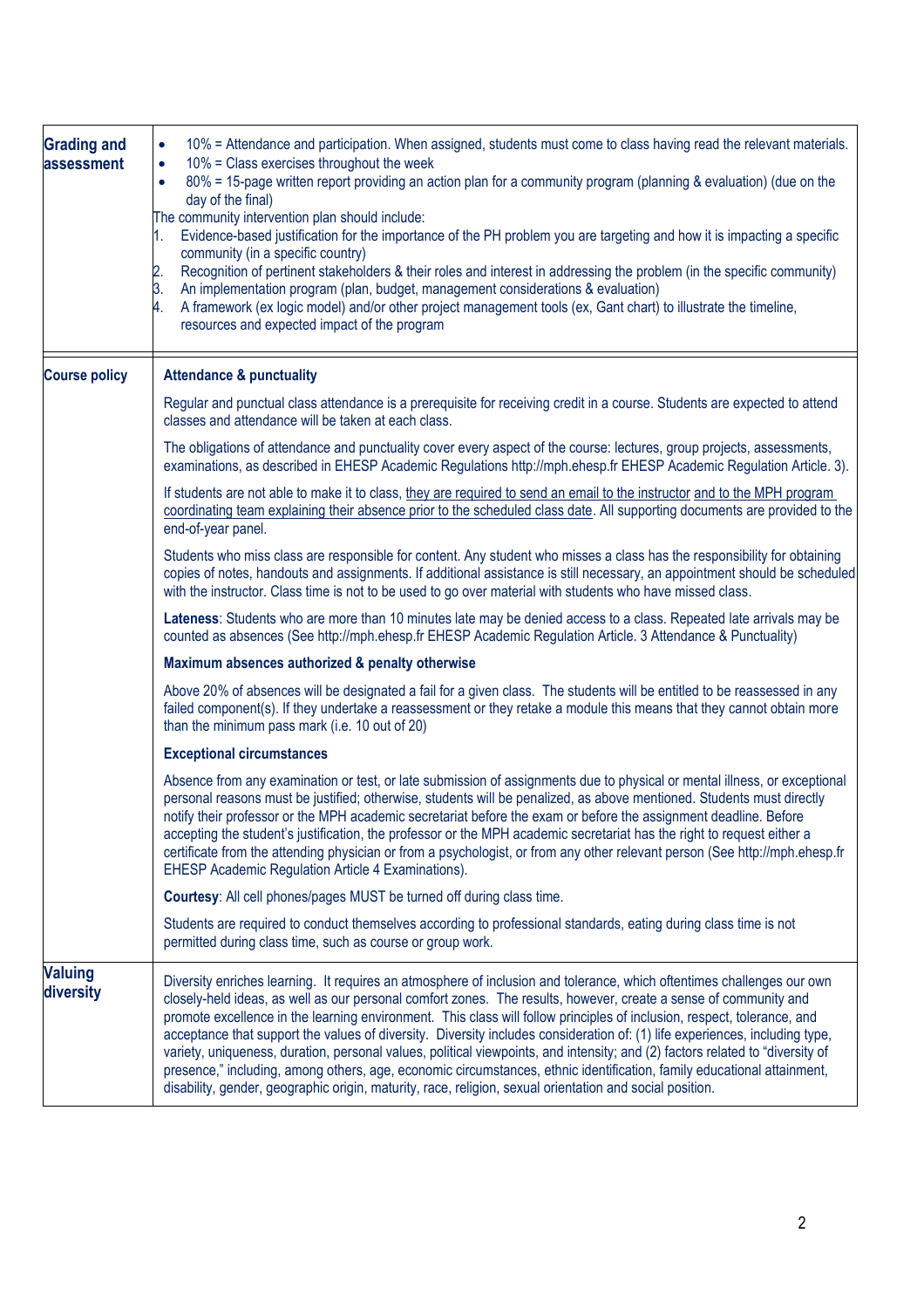| <b>Grading and</b><br>assessment | 10% = Attendance and participation. When assigned, students must come to class having read the relevant materials.<br>$\bullet$<br>10% = Class exercises throughout the week<br>$\bullet$<br>80% = 15-page written report providing an action plan for a community program (planning & evaluation) (due on the<br>$\bullet$<br>day of the final)<br>The community intervention plan should include:<br>Evidence-based justification for the importance of the PH problem you are targeting and how it is impacting a specific<br>community (in a specific country)<br>Recognition of pertinent stakeholders & their roles and interest in addressing the problem (in the specific community)<br>2.<br>An implementation program (plan, budget, management considerations & evaluation)<br>3.<br>A framework (ex logic model) and/or other project management tools (ex, Gant chart) to illustrate the timeline,<br>4.<br>resources and expected impact of the program |
|----------------------------------|-----------------------------------------------------------------------------------------------------------------------------------------------------------------------------------------------------------------------------------------------------------------------------------------------------------------------------------------------------------------------------------------------------------------------------------------------------------------------------------------------------------------------------------------------------------------------------------------------------------------------------------------------------------------------------------------------------------------------------------------------------------------------------------------------------------------------------------------------------------------------------------------------------------------------------------------------------------------------|
| <b>Course policy</b>             | <b>Attendance &amp; punctuality</b>                                                                                                                                                                                                                                                                                                                                                                                                                                                                                                                                                                                                                                                                                                                                                                                                                                                                                                                                   |
|                                  | Regular and punctual class attendance is a prerequisite for receiving credit in a course. Students are expected to attend<br>classes and attendance will be taken at each class.                                                                                                                                                                                                                                                                                                                                                                                                                                                                                                                                                                                                                                                                                                                                                                                      |
|                                  | The obligations of attendance and punctuality cover every aspect of the course: lectures, group projects, assessments,<br>examinations, as described in EHESP Academic Regulations http://mph.ehesp.fr EHESP Academic Regulation Article. 3).                                                                                                                                                                                                                                                                                                                                                                                                                                                                                                                                                                                                                                                                                                                         |
|                                  | If students are not able to make it to class, they are required to send an email to the instructor and to the MPH program<br>coordinating team explaining their absence prior to the scheduled class date. All supporting documents are provided to the<br>end-of-year panel.                                                                                                                                                                                                                                                                                                                                                                                                                                                                                                                                                                                                                                                                                         |
|                                  | Students who miss class are responsible for content. Any student who misses a class has the responsibility for obtaining<br>copies of notes, handouts and assignments. If additional assistance is still necessary, an appointment should be scheduled<br>with the instructor. Class time is not to be used to go over material with students who have missed class.                                                                                                                                                                                                                                                                                                                                                                                                                                                                                                                                                                                                  |
|                                  | Lateness: Students who are more than 10 minutes late may be denied access to a class. Repeated late arrivals may be<br>counted as absences (See http://mph.ehesp.fr EHESP Academic Regulation Article. 3 Attendance & Punctuality)                                                                                                                                                                                                                                                                                                                                                                                                                                                                                                                                                                                                                                                                                                                                    |
|                                  | Maximum absences authorized & penalty otherwise                                                                                                                                                                                                                                                                                                                                                                                                                                                                                                                                                                                                                                                                                                                                                                                                                                                                                                                       |
|                                  | Above 20% of absences will be designated a fail for a given class. The students will be entitled to be reassessed in any<br>failed component(s). If they undertake a reassessment or they retake a module this means that they cannot obtain more<br>than the minimum pass mark (i.e. 10 out of 20)                                                                                                                                                                                                                                                                                                                                                                                                                                                                                                                                                                                                                                                                   |
|                                  | <b>Exceptional circumstances</b>                                                                                                                                                                                                                                                                                                                                                                                                                                                                                                                                                                                                                                                                                                                                                                                                                                                                                                                                      |
|                                  | Absence from any examination or test, or late submission of assignments due to physical or mental illness, or exceptional<br>personal reasons must be justified; otherwise, students will be penalized, as above mentioned. Students must directly<br>notify their professor or the MPH academic secretariat before the exam or before the assignment deadline. Before<br>accepting the student's justification, the professor or the MPH academic secretariat has the right to request either a<br>certificate from the attending physician or from a psychologist, or from any other relevant person (See http://mph.ehesp.fr<br>EHESP Academic Regulation Article 4 Examinations).                                                                                                                                                                                                                                                                                 |
|                                  | Courtesy: All cell phones/pages MUST be turned off during class time.                                                                                                                                                                                                                                                                                                                                                                                                                                                                                                                                                                                                                                                                                                                                                                                                                                                                                                 |
|                                  | Students are required to conduct themselves according to professional standards, eating during class time is not<br>permitted during class time, such as course or group work.                                                                                                                                                                                                                                                                                                                                                                                                                                                                                                                                                                                                                                                                                                                                                                                        |
| <b>Valuing</b><br>diversity      | Diversity enriches learning. It requires an atmosphere of inclusion and tolerance, which oftentimes challenges our own<br>closely-held ideas, as well as our personal comfort zones. The results, however, create a sense of community and<br>promote excellence in the learning environment. This class will follow principles of inclusion, respect, tolerance, and<br>acceptance that support the values of diversity. Diversity includes consideration of: (1) life experiences, including type,<br>variety, uniqueness, duration, personal values, political viewpoints, and intensity; and (2) factors related to "diversity of<br>presence," including, among others, age, economic circumstances, ethnic identification, family educational attainment,<br>disability, gender, geographic origin, maturity, race, religion, sexual orientation and social position.                                                                                           |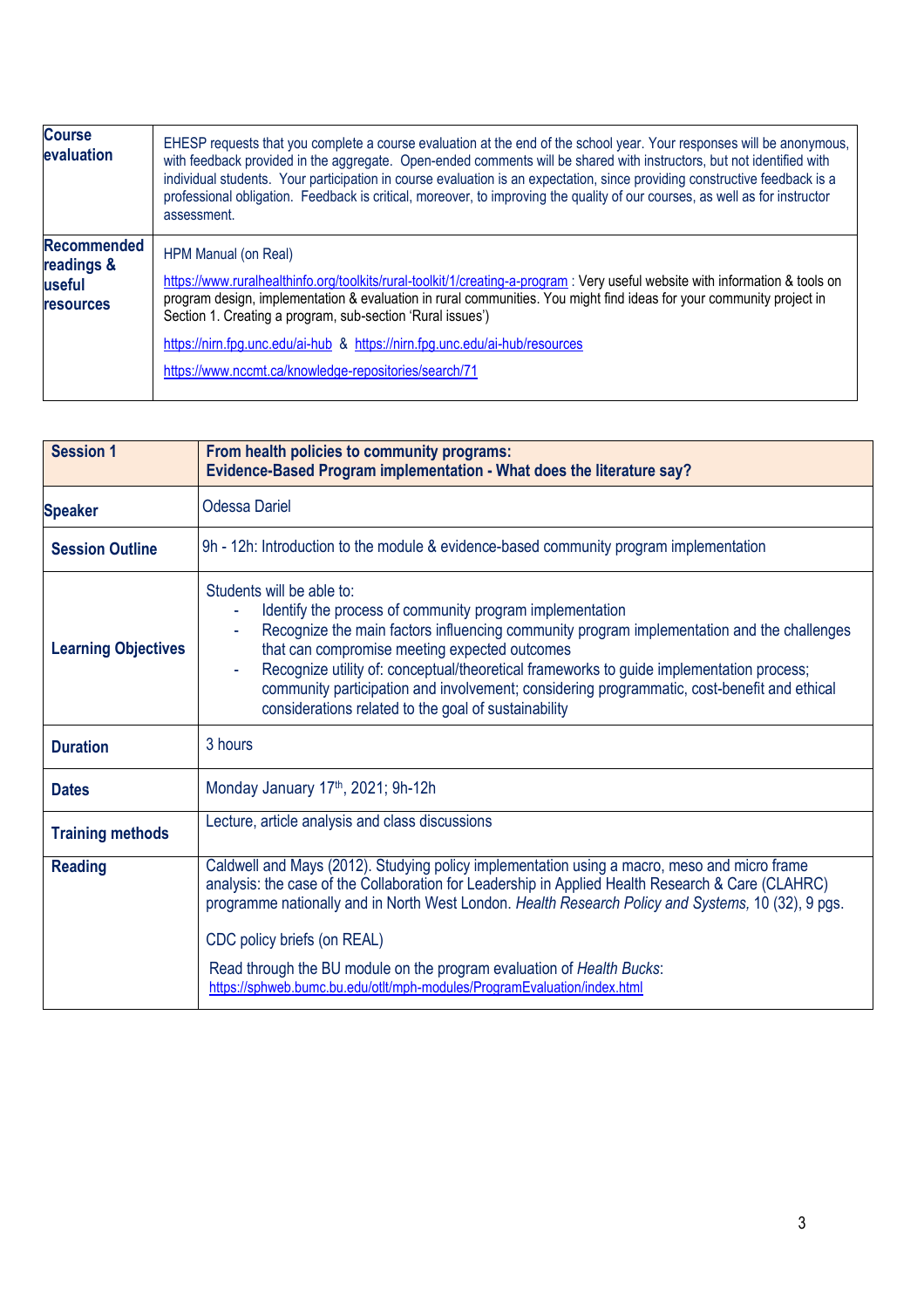| <b>Course</b><br>evaluation                                    | EHESP requests that you complete a course evaluation at the end of the school year. Your responses will be anonymous,<br>with feedback provided in the aggregate. Open-ended comments will be shared with instructors, but not identified with<br>individual students. Your participation in course evaluation is an expectation, since providing constructive feedback is a<br>professional obligation. Feedback is critical, moreover, to improving the quality of our courses, as well as for instructor<br>assessment. |
|----------------------------------------------------------------|----------------------------------------------------------------------------------------------------------------------------------------------------------------------------------------------------------------------------------------------------------------------------------------------------------------------------------------------------------------------------------------------------------------------------------------------------------------------------------------------------------------------------|
| <b>Recommended</b><br>readings &<br>useful<br><b>resources</b> | HPM Manual (on Real)<br>https://www.ruralhealthinfo.org/toolkits/rural-toolkit/1/creating-a-program: Very useful website with information & tools on<br>program design, implementation & evaluation in rural communities. You might find ideas for your community project in<br>Section 1. Creating a program, sub-section 'Rural issues')<br>https://nirn.fpg.unc.edu/ai-hub & https://nirn.fpg.unc.edu/ai-hub/resources<br>https://www.nccmt.ca/knowledge-repositories/search/71                                         |

| <b>Session 1</b>           | From health policies to community programs:<br>Evidence-Based Program implementation - What does the literature say?                                                                                                                                                                                                                                                                                                                                                                        |
|----------------------------|---------------------------------------------------------------------------------------------------------------------------------------------------------------------------------------------------------------------------------------------------------------------------------------------------------------------------------------------------------------------------------------------------------------------------------------------------------------------------------------------|
| <b>Speaker</b>             | <b>Odessa Dariel</b>                                                                                                                                                                                                                                                                                                                                                                                                                                                                        |
| <b>Session Outline</b>     | 9h - 12h: Introduction to the module & evidence-based community program implementation                                                                                                                                                                                                                                                                                                                                                                                                      |
| <b>Learning Objectives</b> | Students will be able to:<br>Identify the process of community program implementation<br>Recognize the main factors influencing community program implementation and the challenges<br>that can compromise meeting expected outcomes<br>Recognize utility of: conceptual/theoretical frameworks to guide implementation process;<br>community participation and involvement; considering programmatic, cost-benefit and ethical<br>considerations related to the goal of sustainability     |
| <b>Duration</b>            | 3 hours                                                                                                                                                                                                                                                                                                                                                                                                                                                                                     |
| <b>Dates</b>               | Monday January 17th, 2021; 9h-12h                                                                                                                                                                                                                                                                                                                                                                                                                                                           |
| <b>Training methods</b>    | Lecture, article analysis and class discussions                                                                                                                                                                                                                                                                                                                                                                                                                                             |
| <b>Reading</b>             | Caldwell and Mays (2012). Studying policy implementation using a macro, meso and micro frame<br>analysis: the case of the Collaboration for Leadership in Applied Health Research & Care (CLAHRC)<br>programme nationally and in North West London. Health Research Policy and Systems, 10 (32), 9 pgs.<br>CDC policy briefs (on REAL)<br>Read through the BU module on the program evaluation of Health Bucks:<br>https://sphweb.bumc.bu.edu/otlt/mph-modules/ProgramEvaluation/index.html |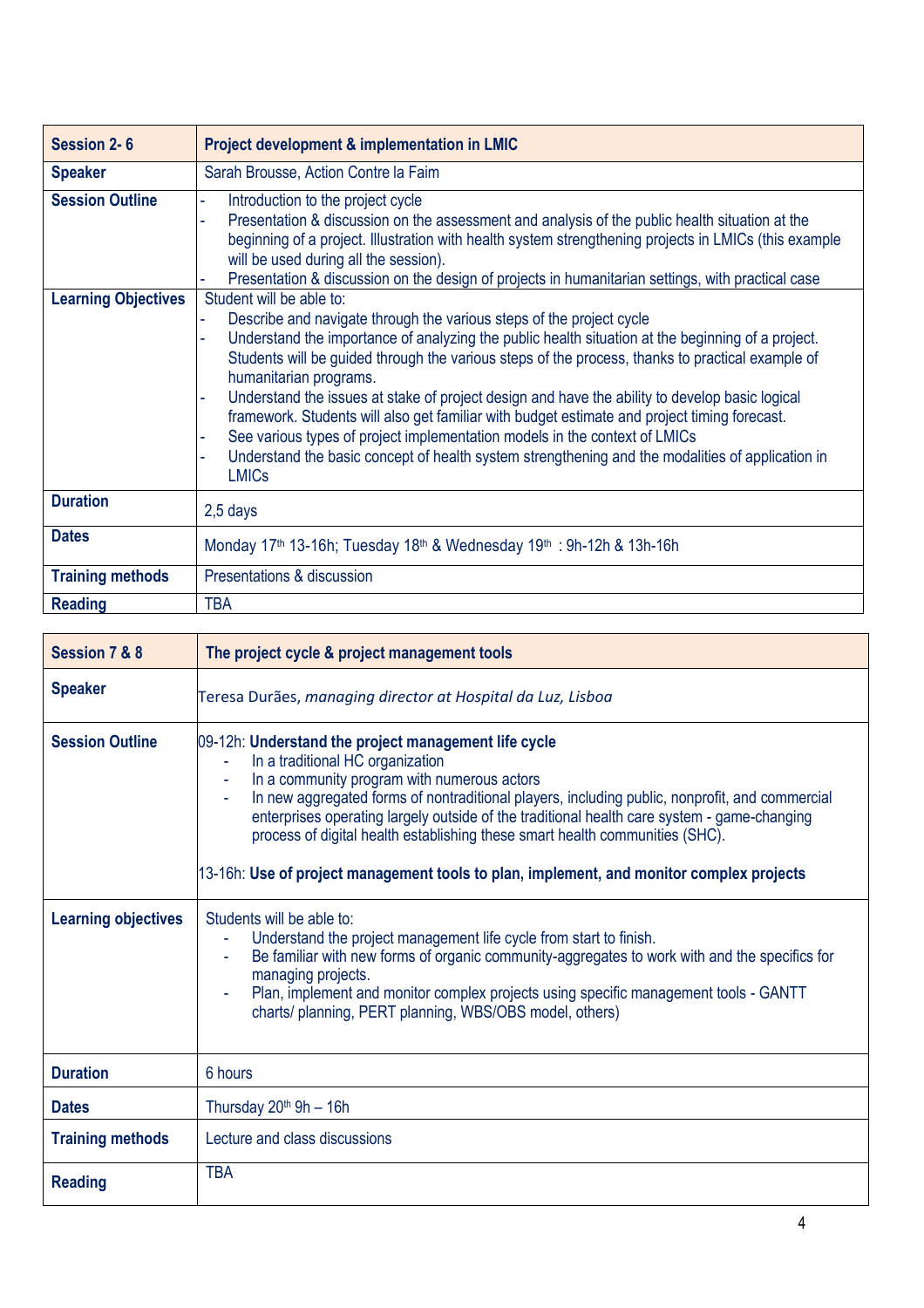| <b>Session 2-6</b>         | <b>Project development &amp; implementation in LMIC</b>                                                                                                                                                                                                                                                                                                                                                                                                                                                                                                                                                                                                                                                                                 |
|----------------------------|-----------------------------------------------------------------------------------------------------------------------------------------------------------------------------------------------------------------------------------------------------------------------------------------------------------------------------------------------------------------------------------------------------------------------------------------------------------------------------------------------------------------------------------------------------------------------------------------------------------------------------------------------------------------------------------------------------------------------------------------|
| <b>Speaker</b>             | Sarah Brousse, Action Contre la Faim                                                                                                                                                                                                                                                                                                                                                                                                                                                                                                                                                                                                                                                                                                    |
| <b>Session Outline</b>     | Introduction to the project cycle<br>Presentation & discussion on the assessment and analysis of the public health situation at the<br>beginning of a project. Illustration with health system strengthening projects in LMICs (this example<br>will be used during all the session).<br>Presentation & discussion on the design of projects in humanitarian settings, with practical case                                                                                                                                                                                                                                                                                                                                              |
| <b>Learning Objectives</b> | Student will be able to:<br>Describe and navigate through the various steps of the project cycle<br>Understand the importance of analyzing the public health situation at the beginning of a project.<br>Students will be guided through the various steps of the process, thanks to practical example of<br>humanitarian programs.<br>Understand the issues at stake of project design and have the ability to develop basic logical<br>framework. Students will also get familiar with budget estimate and project timing forecast.<br>See various types of project implementation models in the context of LMICs<br>Understand the basic concept of health system strengthening and the modalities of application in<br><b>LMICs</b> |
| <b>Duration</b>            | 2,5 days                                                                                                                                                                                                                                                                                                                                                                                                                                                                                                                                                                                                                                                                                                                                |
| <b>Dates</b>               | Monday 17 <sup>th</sup> 13-16h; Tuesday 18 <sup>th</sup> & Wednesday 19 <sup>th</sup> : 9h-12h & 13h-16h                                                                                                                                                                                                                                                                                                                                                                                                                                                                                                                                                                                                                                |
| <b>Training methods</b>    | Presentations & discussion                                                                                                                                                                                                                                                                                                                                                                                                                                                                                                                                                                                                                                                                                                              |
| <b>Reading</b>             | <b>TBA</b>                                                                                                                                                                                                                                                                                                                                                                                                                                                                                                                                                                                                                                                                                                                              |

| Session 7 & 8                                        | The project cycle & project management tools                                                                                                                                                                                                                                                                                                                                                                                                                                                                                                                                                                            |
|------------------------------------------------------|-------------------------------------------------------------------------------------------------------------------------------------------------------------------------------------------------------------------------------------------------------------------------------------------------------------------------------------------------------------------------------------------------------------------------------------------------------------------------------------------------------------------------------------------------------------------------------------------------------------------------|
| <b>Speaker</b>                                       | Teresa Durães, managing director at Hospital da Luz, Lisboa                                                                                                                                                                                                                                                                                                                                                                                                                                                                                                                                                             |
| <b>Session Outline</b><br><b>Learning objectives</b> | 09-12h: Understand the project management life cycle<br>In a traditional HC organization<br>In a community program with numerous actors<br>In new aggregated forms of nontraditional players, including public, nonprofit, and commercial<br>enterprises operating largely outside of the traditional health care system - game-changing<br>process of digital health establishing these smart health communities (SHC).<br>13-16h: Use of project management tools to plan, implement, and monitor complex projects<br>Students will be able to:<br>Understand the project management life cycle from start to finish. |
|                                                      | Be familiar with new forms of organic community-aggregates to work with and the specifics for<br>managing projects.<br>Plan, implement and monitor complex projects using specific management tools - GANTT<br>charts/ planning, PERT planning, WBS/OBS model, others)                                                                                                                                                                                                                                                                                                                                                  |
| <b>Duration</b>                                      | 6 hours                                                                                                                                                                                                                                                                                                                                                                                                                                                                                                                                                                                                                 |
| <b>Dates</b>                                         | Thursday $20th$ 9h - 16h                                                                                                                                                                                                                                                                                                                                                                                                                                                                                                                                                                                                |
| <b>Training methods</b>                              | Lecture and class discussions                                                                                                                                                                                                                                                                                                                                                                                                                                                                                                                                                                                           |
| <b>Reading</b>                                       | <b>TBA</b>                                                                                                                                                                                                                                                                                                                                                                                                                                                                                                                                                                                                              |